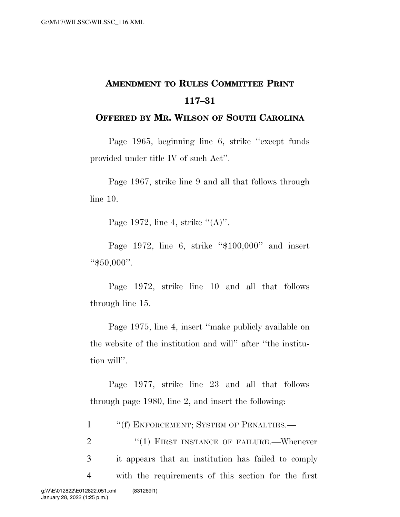## **AMENDMENT TO RULES COMMITTEE PRINT 117–31**

## **OFFERED BY MR. WILSON OF SOUTH CAROLINA**

Page 1965, beginning line 6, strike ''except funds provided under title IV of such Act''.

Page 1967, strike line 9 and all that follows through line 10.

Page 1972, line 4, strike  $\lq (A)$ ".

Page 1972, line 6, strike ''\$100,000'' and insert ''\$50,000''.

Page 1972, strike line 10 and all that follows through line 15.

Page 1975, line 4, insert ''make publicly available on the website of the institution and will'' after ''the institution will''.

Page 1977, strike line 23 and all that follows through page 1980, line 2, and insert the following:

1 ''(f) ENFORCEMENT; SYSTEM OF PENALTIES.—

2 "(1) FIRST INSTANCE OF FAILURE.—Whenever 3 it appears that an institution has failed to comply 4 with the requirements of this section for the first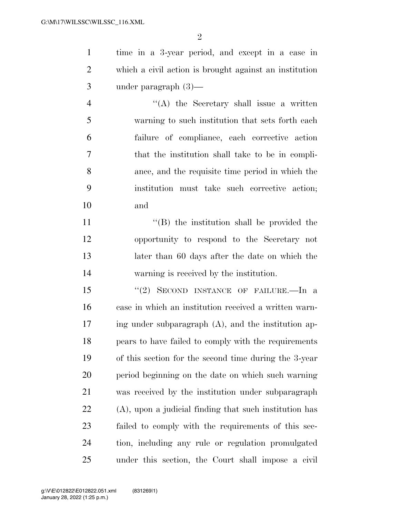$\mathfrak{D}$ 

 time in a 3-year period, and except in a case in which a civil action is brought against an institution under paragraph (3)—

 ''(A) the Secretary shall issue a written warning to such institution that sets forth each failure of compliance, each corrective action that the institution shall take to be in compli- ance, and the requisite time period in which the institution must take such corrective action; and

11 ''(B) the institution shall be provided the opportunity to respond to the Secretary not later than 60 days after the date on which the warning is received by the institution.

 ''(2) SECOND INSTANCE OF FAILURE.—In a case in which an institution received a written warn- ing under subparagraph (A), and the institution ap- pears to have failed to comply with the requirements of this section for the second time during the 3-year period beginning on the date on which such warning was received by the institution under subparagraph (A), upon a judicial finding that such institution has failed to comply with the requirements of this sec- tion, including any rule or regulation promulgated under this section, the Court shall impose a civil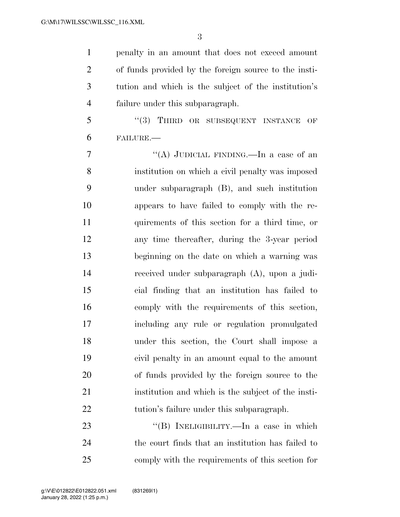penalty in an amount that does not exceed amount of funds provided by the foreign source to the insti- tution and which is the subject of the institution's failure under this subparagraph.

5 "(3) THIRD OR SUBSEQUENT INSTANCE OF FAILURE.—

 ''(A) JUDICIAL FINDING.—In a case of an institution on which a civil penalty was imposed under subparagraph (B), and such institution appears to have failed to comply with the re- quirements of this section for a third time, or any time thereafter, during the 3-year period beginning on the date on which a warning was received under subparagraph (A), upon a judi- cial finding that an institution has failed to comply with the requirements of this section, including any rule or regulation promulgated under this section, the Court shall impose a civil penalty in an amount equal to the amount of funds provided by the foreign source to the institution and which is the subject of the insti-22 tution's failure under this subparagraph.

23 "(B) INELIGIBILITY.—In a case in which the court finds that an institution has failed to comply with the requirements of this section for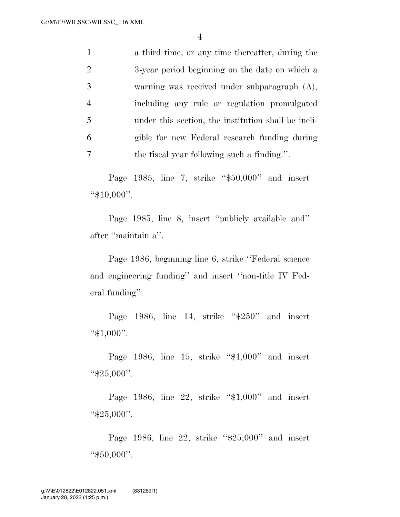4

| $\mathbf{1}$   | a third time, or any time thereafter, during the    |
|----------------|-----------------------------------------------------|
| 2              | 3-year period beginning on the date on which a      |
| 3              | warning was received under subparagraph (A),        |
| $\overline{4}$ | including any rule or regulation promulgated        |
| 5              | under this section, the institution shall be ineli- |
| 6              | gible for new Federal research funding during       |
| 7              | the fiscal year following such a finding.".         |

Page 1985, line 7, strike ''\$50,000'' and insert ''\$10,000''.

Page 1985, line 8, insert ''publicly available and'' after ''maintain a''.

Page 1986, beginning line 6, strike ''Federal science and engineering funding'' and insert ''non-title IV Federal funding''.

Page 1986, line 14, strike "\$250" and insert ''\$1,000''.

Page 1986, line 15, strike "\$1,000" and insert ''\$25,000''.

Page 1986, line 22, strike "\$1,000" and insert ''\$25,000''.

Page 1986, line 22, strike "\$25,000" and insert ''\$50,000''.